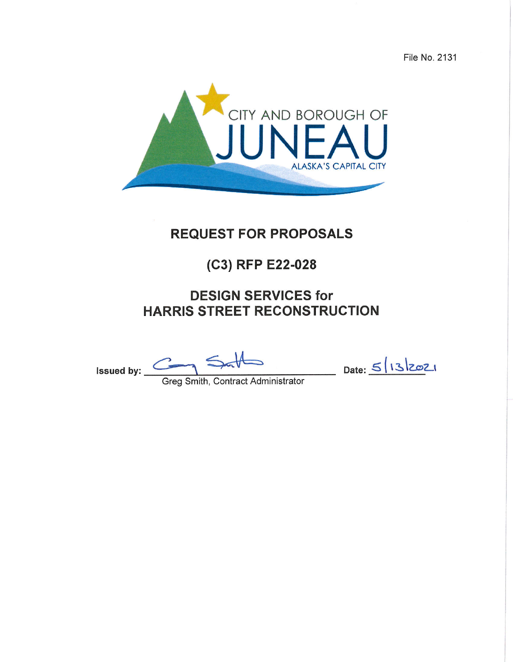File No. 2131



# **REQUEST FOR PROPOSALS**

# (C3) RFP E22-028

# **DESIGN SERVICES for HARRIS STREET RECONSTRUCTION**

Greg Smith, Contract Administrator Issued by:  $\frac{C}{2}$ 

 $\frac{5}{13221}$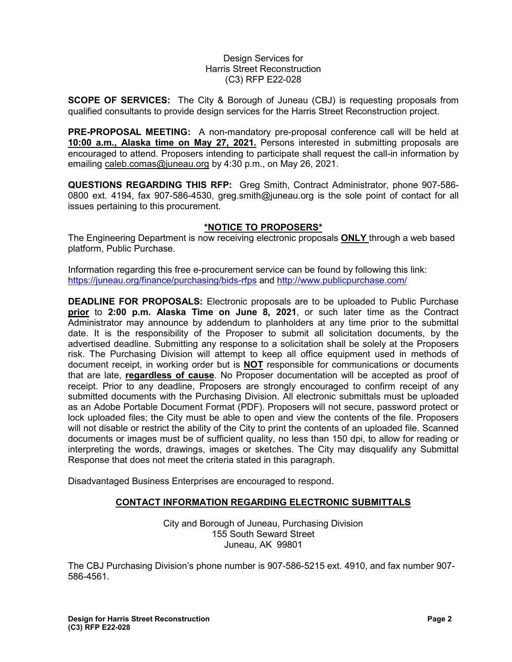### Design Services for Harris Street Reconstruction (C3) RFP E22-028

**SCOPE OF SERVICES:** The City & Borough of Juneau (CBJ) is requesting proposals from qualified consultants to provide design services for the Harris Street Reconstruction project.

**PRE-PROPOSAL MEETING:** A non-mandatory pre-proposal conference call will be held at **10:00 a.m., Alaska time on May 27, 2021.** Persons interested in submitting proposals are encouraged to attend. Proposers intending to participate shall request the call-in information by emailing [caleb.comas@juneau.org](mailto:caleb.comas@juneau.org) by 4:30 p.m., on May 26, 2021.

**QUESTIONS REGARDING THIS RFP:** Greg Smith, Contract Administrator, phone 907-586- 0800 ext. 4194, fax 907-586-4530, greg.smith@juneau.org is the sole point of contact for all issues pertaining to this procurement.

# **\*NOTICE TO PROPOSERS\***

The Engineering Department is now receiving electronic proposals **ONLY** through a web based platform, Public Purchase.

Information regarding this free e-procurement service can be found by following this link: <https://juneau.org/finance/purchasing/bids-rfps> and<http://www.publicpurchase.com/>

**DEADLINE FOR PROPOSALS:** Electronic proposals are to be uploaded to Public Purchase **prior** to **2:00 p.m. Alaska Time on June 8, 2021**, or such later time as the Contract Administrator may announce by addendum to planholders at any time prior to the submittal date. It is the responsibility of the Proposer to submit all solicitation documents, by the advertised deadline. Submitting any response to a solicitation shall be solely at the Proposers risk. The Purchasing Division will attempt to keep all office equipment used in methods of document receipt, in working order but is **NOT** responsible for communications or documents that are late, **regardless of cause**. No Proposer documentation will be accepted as proof of receipt. Prior to any deadline, Proposers are strongly encouraged to confirm receipt of any submitted documents with the Purchasing Division. All electronic submittals must be uploaded as an Adobe Portable Document Format (PDF). Proposers will not secure, password protect or lock uploaded files; the City must be able to open and view the contents of the file. Proposers will not disable or restrict the ability of the City to print the contents of an uploaded file. Scanned documents or images must be of sufficient quality, no less than 150 dpi, to allow for reading or interpreting the words, drawings, images or sketches. The City may disqualify any Submittal Response that does not meet the criteria stated in this paragraph.

Disadvantaged Business Enterprises are encouraged to respond.

# **CONTACT INFORMATION REGARDING ELECTRONIC SUBMITTALS**

City and Borough of Juneau, Purchasing Division 155 South Seward Street Juneau, AK 99801

The CBJ Purchasing Division's phone number is 907-586-5215 ext. 4910, and fax number 907- 586-4561.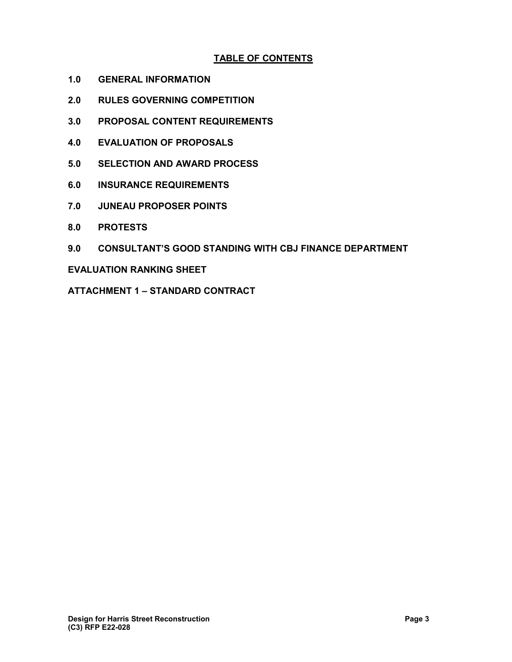# **TABLE OF CONTENTS**

- **1.0 GENERAL INFORMATION**
- **2.0 RULES GOVERNING COMPETITION**
- **3.0 PROPOSAL CONTENT REQUIREMENTS**
- **4.0 EVALUATION OF PROPOSALS**
- **5.0 SELECTION AND AWARD PROCESS**
- **6.0 INSURANCE REQUIREMENTS**
- **7.0 JUNEAU PROPOSER POINTS**
- **8.0 PROTESTS**
- **9.0 CONSULTANT'S GOOD STANDING WITH CBJ FINANCE DEPARTMENT**

## **EVALUATION RANKING SHEET**

**ATTACHMENT 1 – STANDARD CONTRACT**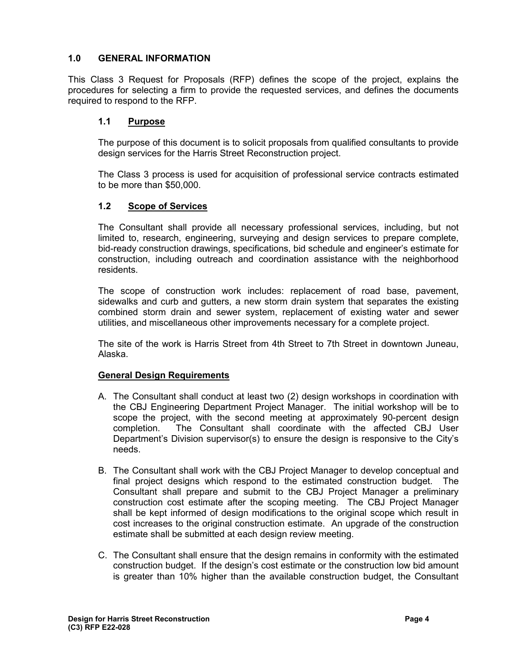# **1.0 GENERAL INFORMATION**

This Class 3 Request for Proposals (RFP) defines the scope of the project, explains the procedures for selecting a firm to provide the requested services, and defines the documents required to respond to the RFP.

# **1.1 Purpose**

The purpose of this document is to solicit proposals from qualified consultants to provide design services for the Harris Street Reconstruction project.

The Class 3 process is used for acquisition of professional service contracts estimated to be more than \$50,000.

# **1.2 Scope of Services**

The Consultant shall provide all necessary professional services, including, but not limited to, research, engineering, surveying and design services to prepare complete, bid-ready construction drawings, specifications, bid schedule and engineer's estimate for construction, including outreach and coordination assistance with the neighborhood residents.

The scope of construction work includes: replacement of road base, pavement, sidewalks and curb and gutters, a new storm drain system that separates the existing combined storm drain and sewer system, replacement of existing water and sewer utilities, and miscellaneous other improvements necessary for a complete project.

The site of the work is Harris Street from 4th Street to 7th Street in downtown Juneau, Alaska.

# **General Design Requirements**

- A. The Consultant shall conduct at least two (2) design workshops in coordination with the CBJ Engineering Department Project Manager. The initial workshop will be to scope the project, with the second meeting at approximately 90-percent design completion. The Consultant shall coordinate with the affected CBJ User Department's Division supervisor(s) to ensure the design is responsive to the City's needs.
- B. The Consultant shall work with the CBJ Project Manager to develop conceptual and final project designs which respond to the estimated construction budget. The Consultant shall prepare and submit to the CBJ Project Manager a preliminary construction cost estimate after the scoping meeting. The CBJ Project Manager shall be kept informed of design modifications to the original scope which result in cost increases to the original construction estimate. An upgrade of the construction estimate shall be submitted at each design review meeting.
- C. The Consultant shall ensure that the design remains in conformity with the estimated construction budget. If the design's cost estimate or the construction low bid amount is greater than 10% higher than the available construction budget, the Consultant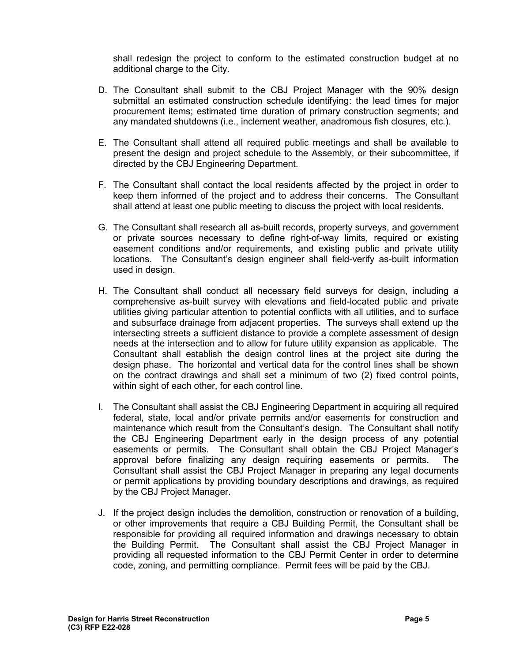shall redesign the project to conform to the estimated construction budget at no additional charge to the City.

- D. The Consultant shall submit to the CBJ Project Manager with the 90% design submittal an estimated construction schedule identifying: the lead times for major procurement items; estimated time duration of primary construction segments; and any mandated shutdowns (i.e., inclement weather, anadromous fish closures, etc.).
- E. The Consultant shall attend all required public meetings and shall be available to present the design and project schedule to the Assembly, or their subcommittee, if directed by the CBJ Engineering Department.
- F. The Consultant shall contact the local residents affected by the project in order to keep them informed of the project and to address their concerns. The Consultant shall attend at least one public meeting to discuss the project with local residents.
- G. The Consultant shall research all as-built records, property surveys, and government or private sources necessary to define right-of-way limits, required or existing easement conditions and/or requirements, and existing public and private utility locations. The Consultant's design engineer shall field-verify as-built information used in design.
- H. The Consultant shall conduct all necessary field surveys for design, including a comprehensive as-built survey with elevations and field-located public and private utilities giving particular attention to potential conflicts with all utilities, and to surface and subsurface drainage from adjacent properties. The surveys shall extend up the intersecting streets a sufficient distance to provide a complete assessment of design needs at the intersection and to allow for future utility expansion as applicable. The Consultant shall establish the design control lines at the project site during the design phase. The horizontal and vertical data for the control lines shall be shown on the contract drawings and shall set a minimum of two (2) fixed control points, within sight of each other, for each control line.
- I. The Consultant shall assist the CBJ Engineering Department in acquiring all required federal, state, local and/or private permits and/or easements for construction and maintenance which result from the Consultant's design. The Consultant shall notify the CBJ Engineering Department early in the design process of any potential easements or permits. The Consultant shall obtain the CBJ Project Manager's approval before finalizing any design requiring easements or permits. The Consultant shall assist the CBJ Project Manager in preparing any legal documents or permit applications by providing boundary descriptions and drawings, as required by the CBJ Project Manager.
- J. If the project design includes the demolition, construction or renovation of a building, or other improvements that require a CBJ Building Permit, the Consultant shall be responsible for providing all required information and drawings necessary to obtain the Building Permit. The Consultant shall assist the CBJ Project Manager in providing all requested information to the CBJ Permit Center in order to determine code, zoning, and permitting compliance. Permit fees will be paid by the CBJ.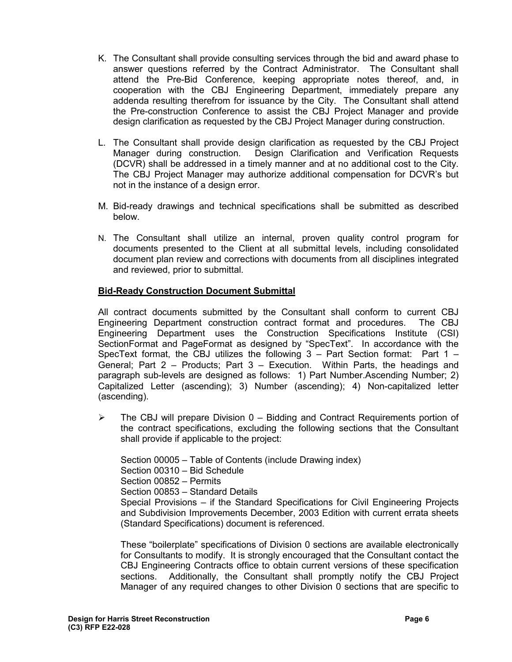- K. The Consultant shall provide consulting services through the bid and award phase to answer questions referred by the Contract Administrator. The Consultant shall attend the Pre-Bid Conference, keeping appropriate notes thereof, and, in cooperation with the CBJ Engineering Department, immediately prepare any addenda resulting therefrom for issuance by the City. The Consultant shall attend the Pre-construction Conference to assist the CBJ Project Manager and provide design clarification as requested by the CBJ Project Manager during construction.
- L. The Consultant shall provide design clarification as requested by the CBJ Project Manager during construction. Design Clarification and Verification Requests (DCVR) shall be addressed in a timely manner and at no additional cost to the City. The CBJ Project Manager may authorize additional compensation for DCVR's but not in the instance of a design error.
- M. Bid-ready drawings and technical specifications shall be submitted as described below.
- N. The Consultant shall utilize an internal, proven quality control program for documents presented to the Client at all submittal levels, including consolidated document plan review and corrections with documents from all disciplines integrated and reviewed, prior to submittal.

# **Bid-Ready Construction Document Submittal**

All contract documents submitted by the Consultant shall conform to current CBJ Engineering Department construction contract format and procedures. The CBJ Engineering Department uses the Construction Specifications Institute (CSI) SectionFormat and PageFormat as designed by "SpecText". In accordance with the SpecText format, the CBJ utilizes the following  $3$  – Part Section format: Part  $1$  – General; Part 2 – Products; Part 3 – Execution. Within Parts, the headings and paragraph sub-levels are designed as follows: 1) Part Number.Ascending Number; 2) Capitalized Letter (ascending); 3) Number (ascending); 4) Non-capitalized letter (ascending).

 $\triangleright$  The CBJ will prepare Division 0 – Bidding and Contract Requirements portion of the contract specifications, excluding the following sections that the Consultant shall provide if applicable to the project:

Section 00005 – Table of Contents (include Drawing index)

Section 00310 – Bid Schedule

Section 00852 – Permits

Section 00853 – Standard Details

Special Provisions – if the Standard Specifications for Civil Engineering Projects and Subdivision Improvements December, 2003 Edition with current errata sheets (Standard Specifications) document is referenced.

These "boilerplate" specifications of Division 0 sections are available electronically for Consultants to modify. It is strongly encouraged that the Consultant contact the CBJ Engineering Contracts office to obtain current versions of these specification sections. Additionally, the Consultant shall promptly notify the CBJ Project Manager of any required changes to other Division 0 sections that are specific to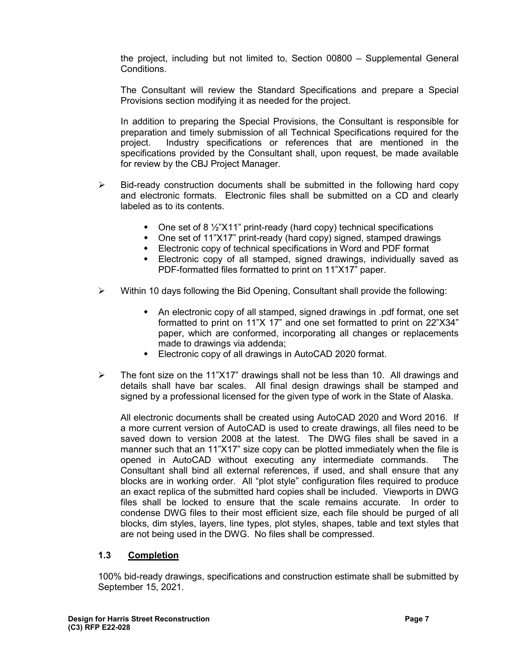the project, including but not limited to, Section 00800 – Supplemental General Conditions.

The Consultant will review the Standard Specifications and prepare a Special Provisions section modifying it as needed for the project.

In addition to preparing the Special Provisions, the Consultant is responsible for preparation and timely submission of all Technical Specifications required for the project. Industry specifications or references that are mentioned in the specifications provided by the Consultant shall, upon request, be made available for review by the CBJ Project Manager.

- $\triangleright$  Bid-ready construction documents shall be submitted in the following hard copy and electronic formats. Electronic files shall be submitted on a CD and clearly labeled as to its contents.
	- One set of 8 1/2"X11" print-ready (hard copy) technical specifications
	- One set of 11"X17" print-ready (hard copy) signed, stamped drawings
	- Electronic copy of technical specifications in Word and PDF format
	- Electronic copy of all stamped, signed drawings, individually saved as PDF-formatted files formatted to print on 11"X17" paper.
- $\triangleright$  Within 10 days following the Bid Opening, Consultant shall provide the following:
	- An electronic copy of all stamped, signed drawings in .pdf format, one set formatted to print on 11"X 17" and one set formatted to print on 22"X34" paper, which are conformed, incorporating all changes or replacements made to drawings via addenda;
	- Electronic copy of all drawings in AutoCAD 2020 format.
- $\triangleright$  The font size on the 11"X17" drawings shall not be less than 10. All drawings and details shall have bar scales. All final design drawings shall be stamped and signed by a professional licensed for the given type of work in the State of Alaska.

All electronic documents shall be created using AutoCAD 2020 and Word 2016. If a more current version of AutoCAD is used to create drawings, all files need to be saved down to version 2008 at the latest. The DWG files shall be saved in a manner such that an 11"X17" size copy can be plotted immediately when the file is opened in AutoCAD without executing any intermediate commands. The Consultant shall bind all external references, if used, and shall ensure that any blocks are in working order. All "plot style" configuration files required to produce an exact replica of the submitted hard copies shall be included. Viewports in DWG files shall be locked to ensure that the scale remains accurate. In order to condense DWG files to their most efficient size, each file should be purged of all blocks, dim styles, layers, line types, plot styles, shapes, table and text styles that are not being used in the DWG. No files shall be compressed.

# **1.3 Completion**

100% bid-ready drawings, specifications and construction estimate shall be submitted by September 15, 2021.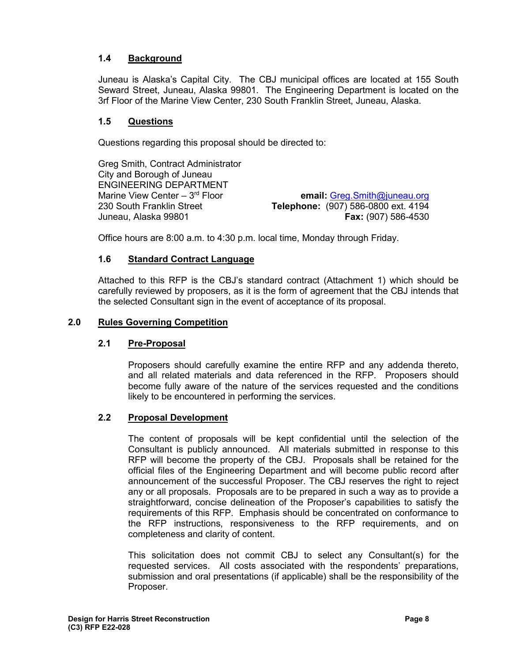# **1.4 Background**

Juneau is Alaska's Capital City. The CBJ municipal offices are located at 155 South Seward Street, Juneau, Alaska 99801. The Engineering Department is located on the 3rf Floor of the Marine View Center, 230 South Franklin Street, Juneau, Alaska.

# **1.5 Questions**

Questions regarding this proposal should be directed to:

Greg Smith, Contract Administrator City and Borough of Juneau ENGINEERING DEPARTMENT Marine View Center – 3rd Floor **email:** [Greg.Smith@juneau.org](mailto:Greg.Smith@juneau.org) 230 South Franklin Street **Telephone:** (907) 586-0800 ext. 4194 Juneau, Alaska 99801 **Fax:** (907) 586-4530

Office hours are 8:00 a.m. to 4:30 p.m. local time, Monday through Friday.

# **1.6 Standard Contract Language**

Attached to this RFP is the CBJ's standard contract (Attachment 1) which should be carefully reviewed by proposers, as it is the form of agreement that the CBJ intends that the selected Consultant sign in the event of acceptance of its proposal.

# **2.0 Rules Governing Competition**

# **2.1 Pre-Proposal**

Proposers should carefully examine the entire RFP and any addenda thereto, and all related materials and data referenced in the RFP. Proposers should become fully aware of the nature of the services requested and the conditions likely to be encountered in performing the services.

# **2.2 Proposal Development**

The content of proposals will be kept confidential until the selection of the Consultant is publicly announced. All materials submitted in response to this RFP will become the property of the CBJ. Proposals shall be retained for the official files of the Engineering Department and will become public record after announcement of the successful Proposer. The CBJ reserves the right to reject any or all proposals. Proposals are to be prepared in such a way as to provide a straightforward, concise delineation of the Proposer's capabilities to satisfy the requirements of this RFP. Emphasis should be concentrated on conformance to the RFP instructions, responsiveness to the RFP requirements, and on completeness and clarity of content.

This solicitation does not commit CBJ to select any Consultant(s) for the requested services. All costs associated with the respondents' preparations, submission and oral presentations (if applicable) shall be the responsibility of the Proposer.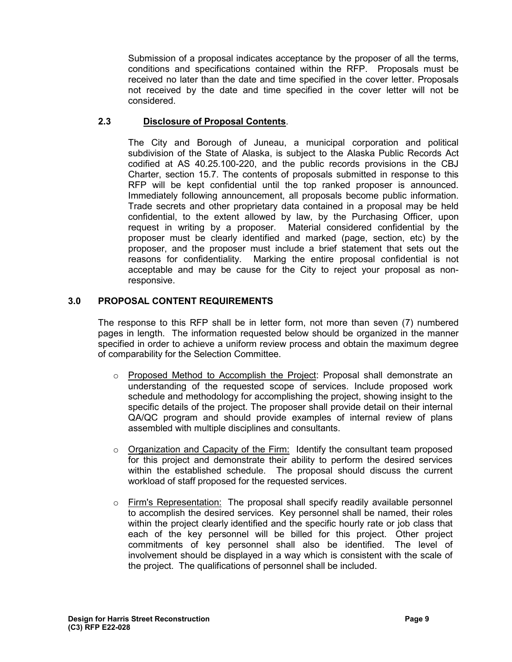Submission of a proposal indicates acceptance by the proposer of all the terms, conditions and specifications contained within the RFP. Proposals must be received no later than the date and time specified in the cover letter. Proposals not received by the date and time specified in the cover letter will not be considered.

# **2.3 Disclosure of Proposal Contents**.

The City and Borough of Juneau, a municipal corporation and political subdivision of the State of Alaska, is subject to the Alaska Public Records Act codified at AS 40.25.100-220, and the public records provisions in the CBJ Charter, section 15.7. The contents of proposals submitted in response to this RFP will be kept confidential until the top ranked proposer is announced. Immediately following announcement, all proposals become public information. Trade secrets and other proprietary data contained in a proposal may be held confidential, to the extent allowed by law, by the Purchasing Officer, upon request in writing by a proposer. Material considered confidential by the proposer must be clearly identified and marked (page, section, etc) by the proposer, and the proposer must include a brief statement that sets out the reasons for confidentiality. Marking the entire proposal confidential is not acceptable and may be cause for the City to reject your proposal as nonresponsive.

# **3.0 PROPOSAL CONTENT REQUIREMENTS**

The response to this RFP shall be in letter form, not more than seven (7) numbered pages in length. The information requested below should be organized in the manner specified in order to achieve a uniform review process and obtain the maximum degree of comparability for the Selection Committee.

- o Proposed Method to Accomplish the Project: Proposal shall demonstrate an understanding of the requested scope of services. Include proposed work schedule and methodology for accomplishing the project, showing insight to the specific details of the project. The proposer shall provide detail on their internal QA/QC program and should provide examples of internal review of plans assembled with multiple disciplines and consultants.
- o Organization and Capacity of the Firm: Identify the consultant team proposed for this project and demonstrate their ability to perform the desired services within the established schedule. The proposal should discuss the current workload of staff proposed for the requested services.
- $\circ$  Firm's Representation: The proposal shall specify readily available personnel to accomplish the desired services. Key personnel shall be named, their roles within the project clearly identified and the specific hourly rate or job class that each of the key personnel will be billed for this project. Other project commitments of key personnel shall also be identified. The level of involvement should be displayed in a way which is consistent with the scale of the project. The qualifications of personnel shall be included.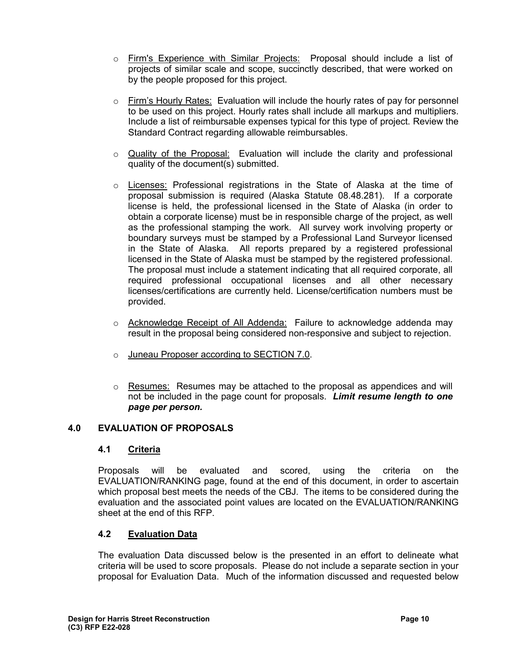- o Firm's Experience with Similar Projects: Proposal should include a list of projects of similar scale and scope, succinctly described, that were worked on by the people proposed for this project.
- $\circ$  Firm's Hourly Rates: Evaluation will include the hourly rates of pay for personnel to be used on this project. Hourly rates shall include all markups and multipliers. Include a list of reimbursable expenses typical for this type of project. Review the Standard Contract regarding allowable reimbursables.
- $\circ$  Quality of the Proposal: Evaluation will include the clarity and professional quality of the document(s) submitted.
- o Licenses: Professional registrations in the State of Alaska at the time of proposal submission is required (Alaska Statute 08.48.281). If a corporate license is held, the professional licensed in the State of Alaska (in order to obtain a corporate license) must be in responsible charge of the project, as well as the professional stamping the work. All survey work involving property or boundary surveys must be stamped by a Professional Land Surveyor licensed in the State of Alaska. All reports prepared by a registered professional licensed in the State of Alaska must be stamped by the registered professional. The proposal must include a statement indicating that all required corporate, all required professional occupational licenses and all other necessary licenses/certifications are currently held. License/certification numbers must be provided.
- o Acknowledge Receipt of All Addenda: Failure to acknowledge addenda may result in the proposal being considered non-responsive and subject to rejection.
- o Juneau Proposer according to SECTION 7.0.
- $\circ$  Resumes: Resumes may be attached to the proposal as appendices and will not be included in the page count for proposals. *Limit resume length to one page per person.*

# **4.0 EVALUATION OF PROPOSALS**

# **4.1 Criteria**

Proposals will be evaluated and scored, using the criteria on the EVALUATION/RANKING page, found at the end of this document, in order to ascertain which proposal best meets the needs of the CBJ. The items to be considered during the evaluation and the associated point values are located on the EVALUATION/RANKING sheet at the end of this RFP.

# **4.2 Evaluation Data**

The evaluation Data discussed below is the presented in an effort to delineate what criteria will be used to score proposals. Please do not include a separate section in your proposal for Evaluation Data. Much of the information discussed and requested below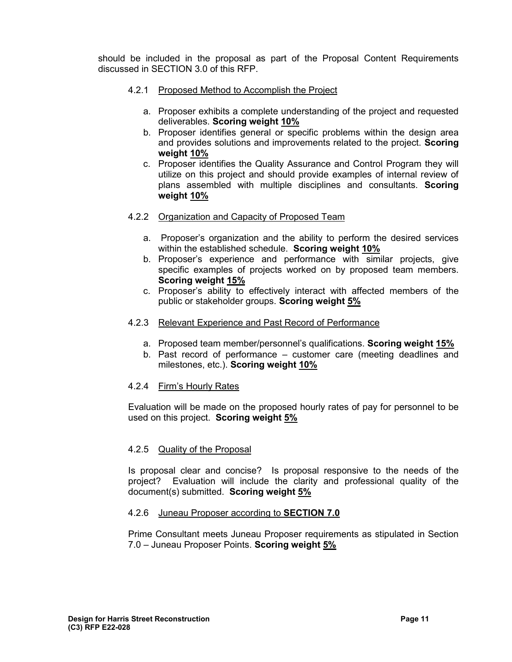should be included in the proposal as part of the Proposal Content Requirements discussed in SECTION 3.0 of this RFP.

- 4.2.1 Proposed Method to Accomplish the Project
	- a. Proposer exhibits a complete understanding of the project and requested deliverables. **Scoring weight 10%**
	- b. Proposer identifies general or specific problems within the design area and provides solutions and improvements related to the project. **Scoring weight 10%**
	- c. Proposer identifies the Quality Assurance and Control Program they will utilize on this project and should provide examples of internal review of plans assembled with multiple disciplines and consultants. **Scoring weight 10%**
- 4.2.2 Organization and Capacity of Proposed Team
	- a. Proposer's organization and the ability to perform the desired services within the established schedule. **Scoring weight 10%**
	- b. Proposer's experience and performance with similar projects, give specific examples of projects worked on by proposed team members. **Scoring weight 15%**
	- c. Proposer's ability to effectively interact with affected members of the public or stakeholder groups. **Scoring weight 5%**
- 4.2.3 Relevant Experience and Past Record of Performance
	- a. Proposed team member/personnel's qualifications. **Scoring weight 15%**
	- b. Past record of performance customer care (meeting deadlines and milestones, etc.). **Scoring weight 10%**

# 4.2.4 Firm's Hourly Rates

Evaluation will be made on the proposed hourly rates of pay for personnel to be used on this project. **Scoring weight 5%**

# 4.2.5 Quality of the Proposal

Is proposal clear and concise? Is proposal responsive to the needs of the project? Evaluation will include the clarity and professional quality of the document(s) submitted. **Scoring weight 5%**

### 4.2.6 Juneau Proposer according to **SECTION 7.0**

Prime Consultant meets Juneau Proposer requirements as stipulated in Section 7.0 – Juneau Proposer Points. **Scoring weight 5%**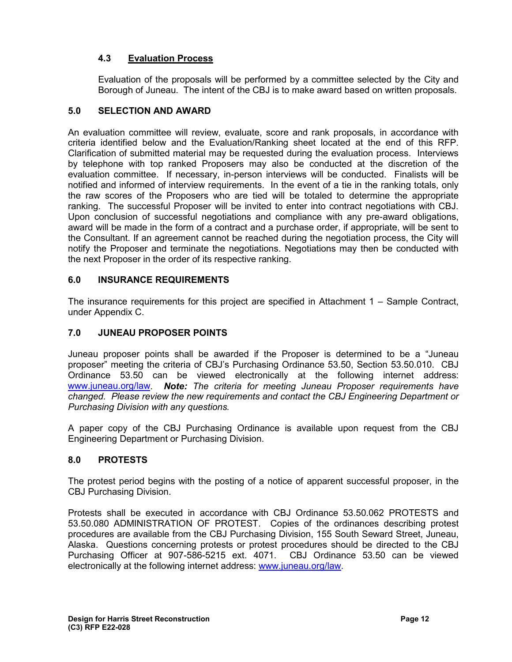# **4.3 Evaluation Process**

Evaluation of the proposals will be performed by a committee selected by the City and Borough of Juneau. The intent of the CBJ is to make award based on written proposals.

# **5.0 SELECTION AND AWARD**

An evaluation committee will review, evaluate, score and rank proposals, in accordance with criteria identified below and the Evaluation/Ranking sheet located at the end of this RFP. Clarification of submitted material may be requested during the evaluation process. Interviews by telephone with top ranked Proposers may also be conducted at the discretion of the evaluation committee. If necessary, in-person interviews will be conducted. Finalists will be notified and informed of interview requirements. In the event of a tie in the ranking totals, only the raw scores of the Proposers who are tied will be totaled to determine the appropriate ranking. The successful Proposer will be invited to enter into contract negotiations with CBJ. Upon conclusion of successful negotiations and compliance with any pre-award obligations, award will be made in the form of a contract and a purchase order, if appropriate, will be sent to the Consultant. If an agreement cannot be reached during the negotiation process, the City will notify the Proposer and terminate the negotiations. Negotiations may then be conducted with the next Proposer in the order of its respective ranking.

# **6.0 INSURANCE REQUIREMENTS**

The insurance requirements for this project are specified in Attachment 1 – Sample Contract, under Appendix C.

# **7.0 JUNEAU PROPOSER POINTS**

Juneau proposer points shall be awarded if the Proposer is determined to be a "Juneau proposer" meeting the criteria of CBJ's Purchasing Ordinance 53.50, Section 53.50.010. CBJ Ordinance 53.50 can be viewed electronically at the following internet address: [www.juneau.org/law.](http://www.juneau.org/law) *Note: The criteria for meeting Juneau Proposer requirements have changed. Please review the new requirements and contact the CBJ Engineering Department or Purchasing Division with any questions.* 

A paper copy of the CBJ Purchasing Ordinance is available upon request from the CBJ Engineering Department or Purchasing Division.

# **8.0 PROTESTS**

The protest period begins with the posting of a notice of apparent successful proposer, in the CBJ Purchasing Division.

Protests shall be executed in accordance with CBJ Ordinance 53.50.062 PROTESTS and 53.50.080 ADMINISTRATION OF PROTEST. Copies of the ordinances describing protest procedures are available from the CBJ Purchasing Division, 155 South Seward Street, Juneau, Alaska. Questions concerning protests or protest procedures should be directed to the CBJ Purchasing Officer at 907-586-5215 ext. 4071. CBJ Ordinance 53.50 can be viewed electronically at the following internet address: [www.juneau.org/law.](http://www.juneau.org/law)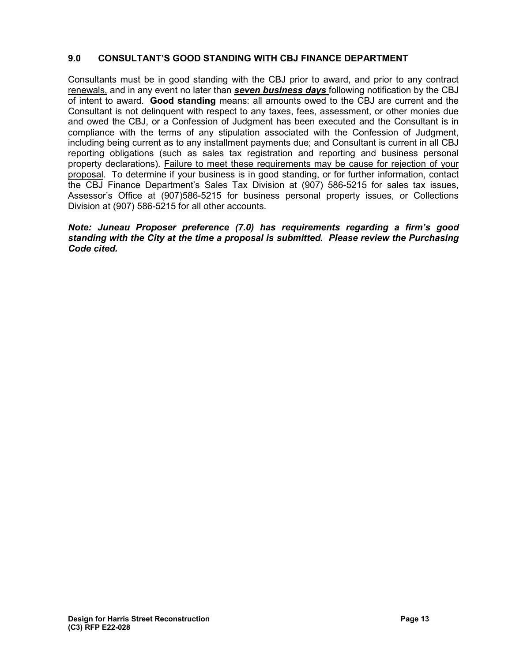# **9.0 CONSULTANT'S GOOD STANDING WITH CBJ FINANCE DEPARTMENT**

Consultants must be in good standing with the CBJ prior to award, and prior to any contract renewals, and in any event no later than *seven business days* following notification by the CBJ of intent to award. **Good standing** means: all amounts owed to the CBJ are current and the Consultant is not delinquent with respect to any taxes, fees, assessment, or other monies due and owed the CBJ, or a Confession of Judgment has been executed and the Consultant is in compliance with the terms of any stipulation associated with the Confession of Judgment, including being current as to any installment payments due; and Consultant is current in all CBJ reporting obligations (such as sales tax registration and reporting and business personal property declarations). Failure to meet these requirements may be cause for rejection of your proposal. To determine if your business is in good standing, or for further information, contact the CBJ Finance Department's Sales Tax Division at (907) 586-5215 for sales tax issues, Assessor's Office at (907)586-5215 for business personal property issues, or Collections Division at (907) 586-5215 for all other accounts.

### *Note: Juneau Proposer preference (7.0) has requirements regarding a firm's good standing with the City at the time a proposal is submitted. Please review the Purchasing Code cited.*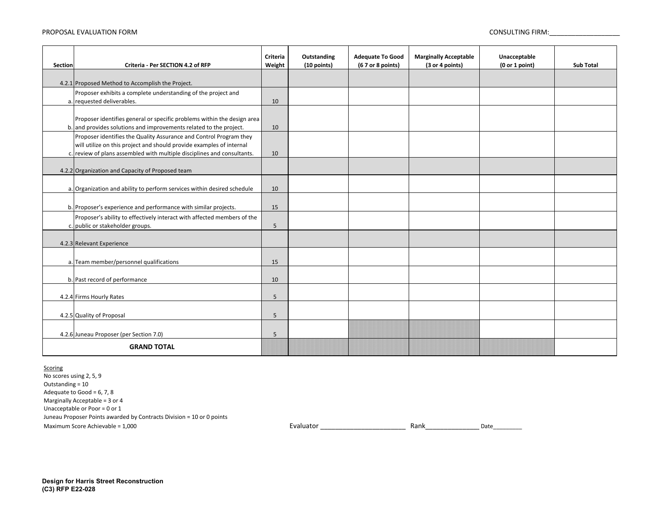#### PROPOSAL EVALUATION FORM CONSULTING FIRM:

| Section            | Criteria - Per SECTION 4.2 of RFP                                       | Criteria<br>Weight | Outstanding<br>(10 points) | <b>Adequate To Good</b><br>(6 7 or 8 points) | <b>Marginally Acceptable</b><br>(3 or 4 points) | Unacceptable<br>(0 or 1 point) | <b>Sub Total</b> |
|--------------------|-------------------------------------------------------------------------|--------------------|----------------------------|----------------------------------------------|-------------------------------------------------|--------------------------------|------------------|
|                    |                                                                         |                    |                            |                                              |                                                 |                                |                  |
|                    | 4.2.1 Proposed Method to Accomplish the Project.                        |                    |                            |                                              |                                                 |                                |                  |
|                    | Proposer exhibits a complete understanding of the project and           |                    |                            |                                              |                                                 |                                |                  |
|                    | a. requested deliverables.                                              | 10                 |                            |                                              |                                                 |                                |                  |
|                    | Proposer identifies general or specific problems within the design area |                    |                            |                                              |                                                 |                                |                  |
|                    | b. and provides solutions and improvements related to the project.      | 10                 |                            |                                              |                                                 |                                |                  |
|                    | Proposer identifies the Quality Assurance and Control Program they      |                    |                            |                                              |                                                 |                                |                  |
|                    | will utilize on this project and should provide examples of internal    |                    |                            |                                              |                                                 |                                |                  |
|                    | c. review of plans assembled with multiple disciplines and consultants. | 10                 |                            |                                              |                                                 |                                |                  |
|                    | 4.2.2 Organization and Capacity of Proposed team                        |                    |                            |                                              |                                                 |                                |                  |
|                    |                                                                         |                    |                            |                                              |                                                 |                                |                  |
|                    | a. Organization and ability to perform services within desired schedule | 10                 |                            |                                              |                                                 |                                |                  |
|                    | b. Proposer's experience and performance with similar projects.         | 15                 |                            |                                              |                                                 |                                |                  |
|                    | Proposer's ability to effectively interact with affected members of the |                    |                            |                                              |                                                 |                                |                  |
|                    | c. public or stakeholder groups.                                        | 5                  |                            |                                              |                                                 |                                |                  |
|                    | 4.2.3 Relevant Experience                                               |                    |                            |                                              |                                                 |                                |                  |
|                    | a. Team member/personnel qualifications                                 | 15                 |                            |                                              |                                                 |                                |                  |
|                    |                                                                         |                    |                            |                                              |                                                 |                                |                  |
|                    | b. Past record of performance                                           | 10                 |                            |                                              |                                                 |                                |                  |
|                    | 4.2.4 Firms Hourly Rates                                                | 5                  |                            |                                              |                                                 |                                |                  |
|                    |                                                                         |                    |                            |                                              |                                                 |                                |                  |
|                    | 4.2.5 Quality of Proposal                                               | 5                  |                            |                                              |                                                 |                                |                  |
|                    | 4.2.6 Juneau Proposer (per Section 7.0)                                 | 5                  |                            |                                              |                                                 |                                |                  |
| <b>GRAND TOTAL</b> |                                                                         |                    |                            |                                              |                                                 |                                |                  |

#### **Scoring**

No scores using 2, 5, 9 Maximum Score Achievable = 1,000 and the state of the state of the Evaluator **Evaluator** 2011 and the State of the State of the State of the State of the State of the State of the State of the State of the State of the Sta Juneau Proposer Points awarded by Contracts Division = 10 or 0 points Outstanding = 10 Adequate to Good = 6, 7, 8 Marginally Acceptable = 3 or 4 Unacceptable or Poor = 0 or 1

Rank\_\_\_\_\_\_\_\_\_\_\_\_\_\_\_Date\_\_\_\_\_\_\_\_\_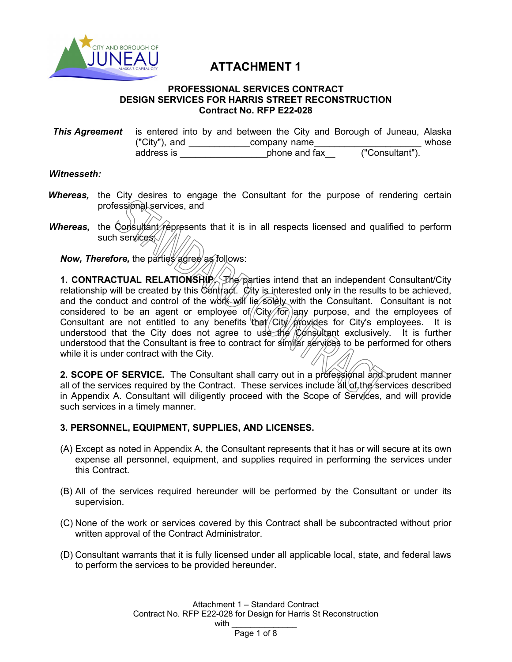

# **ATTACHMENT 1**

### **PROFESSIONAL SERVICES CONTRACT DESIGN SERVICES FOR HARRIS STREET RECONSTRUCTION Contract No. RFP E22-028**

**This Agreement** is entered into by and between the City and Borough of Juneau, Alaska<br>
("City") and company name ("City"), and  $\frac{\cdot}{\cdot}$  company name  $\frac{\cdot}{\cdot}$  ("Consultant"). address is  $\qquad \qquad$  phone and fax

# *Witnesseth:*

- **Whereas,** the City desires to engage the Consultant for the purpose of rendering certain professional services, and
- *Whereas,* the Consultant represents that it is in all respects licensed and qualified to perform such services //

*Now, Therefore, the parties agree as follows:* 

**1. CONTRACTUAL RELATIONSHIP.** The parties intend that an independent Consultant/City relationship will be created by this Contract. City is interested only in the results to be achieved, and the conduct and control of the work will lie solely with the Consultant. Consultant is not considered to be an agent or employee of  $/$ City $/$  for any purpose, and the employees of Consultant are not entitled to any benefits that  $\frac{1}{2}$  City  $\frac{1}{2}$  for City's employees. It is understood that the City does not agree to use the Consultant exclusively. It is further understood that the Consultant is free to contract for similar services to be performed for others while it is under contract with the City.

2. SCOPE OF SERVICE. The Consultant shall carry out in a professional and prudent manner all of the services required by the Contract. These services include  $\frac{d}{dt}$  of the services described in Appendix A. Consultant will diligently proceed with the Scope of Services, and will provide such services in a timely manner.

# **3. PERSONNEL, EQUIPMENT, SUPPLIES, AND LICENSES.**

- (A) Except as noted in Appendix A, the Consultant represents that it has or will secure at its own expense all personnel, equipment, and supplies required in performing the services under this Contract.
- (B) All of the services required hereunder will be performed by the Consultant or under its supervision.
- (C) None of the work or services covered by this Contract shall be subcontracted without prior written approval of the Contract Administrator.
- (D) Consultant warrants that it is fully licensed under all applicable local, state, and federal laws to perform the services to be provided hereunder.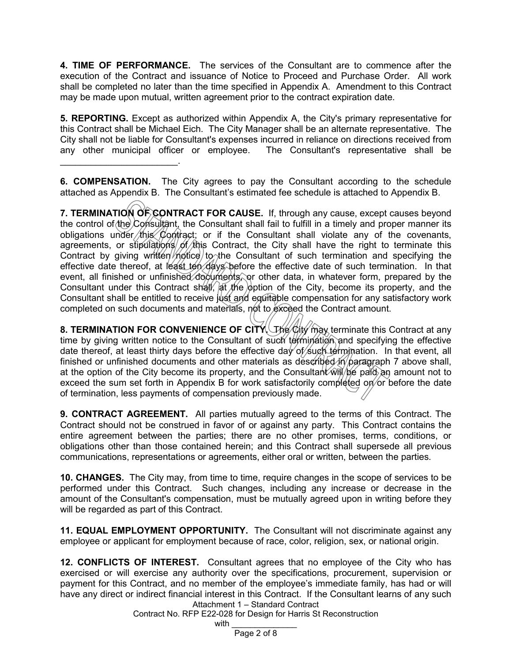**4. TIME OF PERFORMANCE.** The services of the Consultant are to commence after the execution of the Contract and issuance of Notice to Proceed and Purchase Order. All work shall be completed no later than the time specified in Appendix A. Amendment to this Contract may be made upon mutual, written agreement prior to the contract expiration date.

**5. REPORTING.** Except as authorized within Appendix A, the City's primary representative for this Contract shall be Michael Eich. The City Manager shall be an alternate representative. The City shall not be liable for Consultant's expenses incurred in reliance on directions received from any other municipal officer or employee. The Consultant's representative shall be

**6. COMPENSATION.** The City agrees to pay the Consultant according to the schedule attached as Appendix B. The Consultant's estimated fee schedule is attached to Appendix B.

\_\_\_\_\_\_\_\_\_\_\_\_\_\_\_\_\_\_\_\_\_\_\_.

**7. TERMINATION OF CONTRACT FOR CAUSE.** If, through any cause, except causes beyond the control of the Consultant, the Consultant shall fail to fulfill in a timely and proper manner its obligations under this Contract; or if the Consultant shall violate any of the covenants, agreements, or stipulations of this Contract, the City shall have the right to terminate this Contract by giving written  $m$  to the Consultant of such termination and specifying the effective date thereof, at least ten days before the effective date of such termination. In that event, all finished or unfinished documents, or other data, in whatever form, prepared by the Consultant under this Contract shall,  $\frac{1}{2}$  the  $\frac{1}{2}$  option of the City, become its property, and the Consultant shall be entitled to receive just and equitable compensation for any satisfactory work completed on such documents and materials, not to exceed the Contract amount.

**8. TERMINATION FOR CONVENIENCE OF CITY.** The City may terminate this Contract at any time by giving written notice to the Consultant of such termination and specifying the effective date thereof, at least thirty days before the effective day of such termination. In that event, all finished or unfinished documents and other materials as described in paragraph 7 above shall, at the option of the City become its property, and the Consultant  $\hat{w}$   $\hat{w}$   $\hat{p}$   $\hat{p}$  an amount not to exceed the sum set forth in Appendix B for work satisfactorily completed on or before the date of termination, less payments of compensation previously made.

**9. CONTRACT AGREEMENT.** All parties mutually agreed to the terms of this Contract. The Contract should not be construed in favor of or against any party. This Contract contains the entire agreement between the parties; there are no other promises, terms, conditions, or obligations other than those contained herein; and this Contract shall supersede all previous communications, representations or agreements, either oral or written, between the parties.

**10. CHANGES.** The City may, from time to time, require changes in the scope of services to be performed under this Contract. Such changes, including any increase or decrease in the amount of the Consultant's compensation, must be mutually agreed upon in writing before they will be regarded as part of this Contract.

**11. EQUAL EMPLOYMENT OPPORTUNITY.** The Consultant will not discriminate against any employee or applicant for employment because of race, color, religion, sex, or national origin.

Attachment 1 – Standard Contract **12. CONFLICTS OF INTEREST.** Consultant agrees that no employee of the City who has exercised or will exercise any authority over the specifications, procurement, supervision or payment for this Contract, and no member of the employee's immediate family, has had or will have any direct or indirect financial interest in this Contract. If the Consultant learns of any such

Contract No. RFP E22-028 for Design for Harris St Reconstruction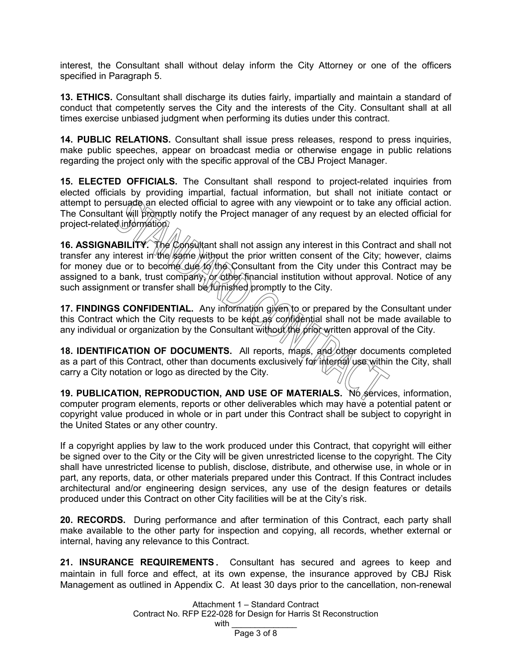interest, the Consultant shall without delay inform the City Attorney or one of the officers specified in Paragraph 5.

**13. ETHICS.** Consultant shall discharge its duties fairly, impartially and maintain a standard of conduct that competently serves the City and the interests of the City. Consultant shall at all times exercise unbiased judgment when performing its duties under this contract.

**14. PUBLIC RELATIONS.** Consultant shall issue press releases, respond to press inquiries, make public speeches, appear on broadcast media or otherwise engage in public relations regarding the project only with the specific approval of the CBJ Project Manager.

**15. ELECTED OFFICIALS.** The Consultant shall respond to project-related inquiries from elected officials by providing impartial, factual information, but shall not initiate contact or attempt to persuade an elected official to agree with any viewpoint or to take any official action. The Consultant will promptly notify the Project manager of any request by an elected official for project-related information.

**16. ASSIGNABILITY.** The Consultant shall not assign any interest in this Contract and shall not transfer any interest in the same without the prior written consent of the City; however, claims for money due or to become due to the Consultant from the City under this Contract may be assigned to a bank, trust company, or other financial institution without approval. Notice of any such assignment or transfer shall be *furnished* promptly to the City.

**17. FINDINGS CONFIDENTIAL.** Any information given to or prepared by the Consultant under this Contract which the City requests to be kept as confidential shall not be made available to any individual or organization by the Consultant without the prior written approval of the City.

**18. IDENTIFICATION OF DOCUMENTS.** All reports, maps, and other documents completed as a part of this Contract, other than documents exclusively for internal use within the City, shall carry a City notation or logo as directed by the City.

**19. PUBLICATION, REPRODUCTION, AND USE OF MATERIALS.** No services, information, computer program elements, reports or other deliverables which may have a potential patent or copyright value produced in whole or in part under this Contract shall be subject to copyright in the United States or any other country.

If a copyright applies by law to the work produced under this Contract, that copyright will either be signed over to the City or the City will be given unrestricted license to the copyright. The City shall have unrestricted license to publish, disclose, distribute, and otherwise use, in whole or in part, any reports, data, or other materials prepared under this Contract. If this Contract includes architectural and/or engineering design services, any use of the design features or details produced under this Contract on other City facilities will be at the City's risk.

**20. RECORDS.** During performance and after termination of this Contract, each party shall make available to the other party for inspection and copying, all records, whether external or internal, having any relevance to this Contract.

**21. INSURANCE REQUIREMENTS.** Consultant has secured and agrees to keep and maintain in full force and effect, at its own expense, the insurance approved by CBJ Risk Management as outlined in Appendix C. At least 30 days prior to the cancellation, non-renewal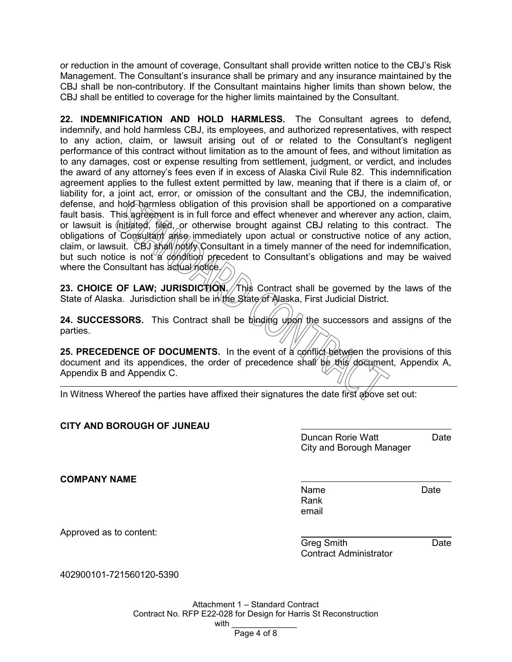or reduction in the amount of coverage, Consultant shall provide written notice to the CBJ's Risk Management. The Consultant's insurance shall be primary and any insurance maintained by the CBJ shall be non-contributory. If the Consultant maintains higher limits than shown below, the CBJ shall be entitled to coverage for the higher limits maintained by the Consultant.

**22. INDEMNIFICATION AND HOLD HARMLESS.** The Consultant agrees to defend, indemnify, and hold harmless CBJ, its employees, and authorized representatives, with respect to any action, claim, or lawsuit arising out of or related to the Consultant's negligent performance of this contract without limitation as to the amount of fees, and without limitation as to any damages, cost or expense resulting from settlement, judgment, or verdict, and includes the award of any attorney's fees even if in excess of Alaska Civil Rule 82. This indemnification agreement applies to the fullest extent permitted by law, meaning that if there is a claim of, or liability for, a joint act, error, or omission of the consultant and the CBJ, the indemnification, defense, and hold harmless obligation of this provision shall be apportioned on a comparative fault basis. This agreement is in full force and effect whenever and wherever any action, claim, or lawsuit is  $\oint$ nitiated, filed, or otherwise brought against CBJ relating to this contract. The obligations of Consultant arise immediately upon actual or constructive notice of any action, claim, or lawsuit. CBJ shall notify Consultant in a timely manner of the need for indemnification, but such notice is not a condition precedent to Consultant's obligations and may be waived where the Consultant has actual notice.

**23. CHOICE OF LAW; JURISDICTION. This Contract shall be governed by the laws of the** State of Alaska. Jurisdiction shall be in the State of Alaska, First Judicial District.

**24. SUCCESSORS.** This Contract shall be binding upon the successors and assigns of the parties.

**25. PRECEDENCE OF DOCUMENTS.** In the event of a conflict between the provisions of this document and its appendices, the order of precedence shall be this document, Appendix A, Appendix B and Appendix C.

In Witness Whereof the parties have affixed their signatures the date first above set out:

# **CITY AND BOROUGH OF JUNEAU**

Duncan Rorie Watt **Date** City and Borough Manager

**COMPANY NAME**

Name Date Rank email

Approved as to content:

Greg Smith **Date** Contract Administrator

402900101-721560120-5390

Attachment 1 – Standard Contract Contract No. RFP E22-028 for Design for Harris St Reconstruction with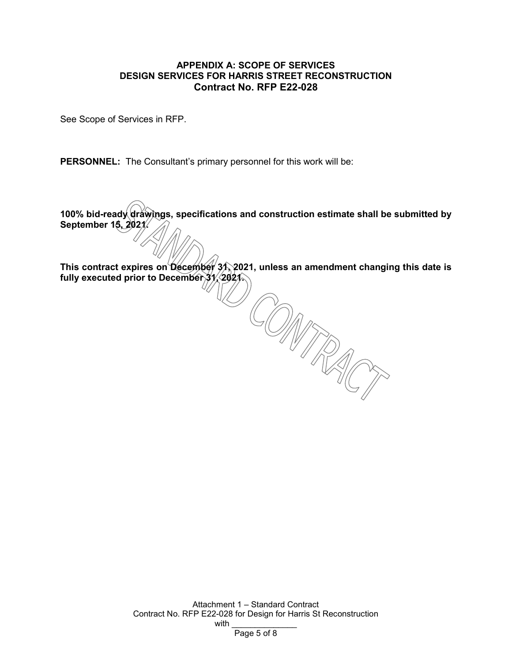# **APPENDIX A: SCOPE OF SERVICES DESIGN SERVICES FOR HARRIS STREET RECONSTRUCTION Contract No. RFP E22-028**

See Scope of Services in RFP.

**PERSONNEL:** The Consultant's primary personnel for this work will be:

**100% bid-ready drawings, specifications and construction estimate shall be submitted by September 15, 2021.**

**This contract expires on December 31, 2021, unless an amendment changing this date is fully executed prior to December 31, 2021.**

> Attachment 1 – Standard Contract Contract No. RFP E22-028 for Design for Harris St Reconstruction with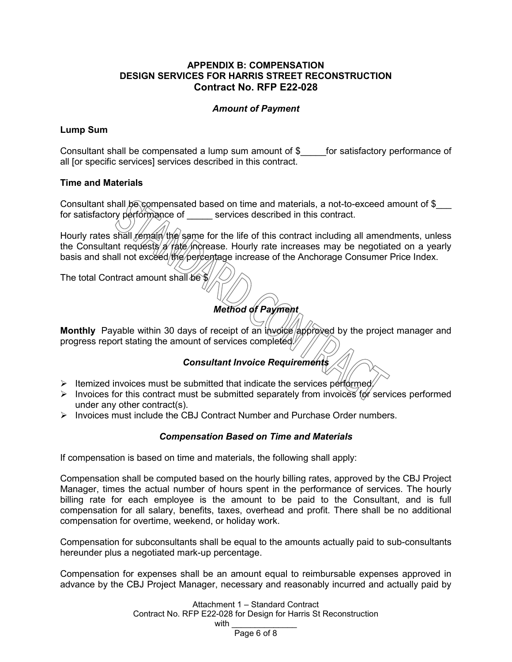# **APPENDIX B: COMPENSATION DESIGN SERVICES FOR HARRIS STREET RECONSTRUCTION Contract No. RFP E22-028**

## *Amount of Payment*

## **Lump Sum**

Consultant shall be compensated a lump sum amount of \$ for satisfactory performance of all [or specific services] services described in this contract.

## **Time and Materials**

Consultant shall be compensated based on time and materials, a not-to-exceed amount of \$ for satisfactory performance of services described in this contract.

Hourly rates shall remain the same for the life of this contract including all amendments, unless the Consultant requests a rate increase. Hourly rate increases may be negotiated on a yearly basis and shall not exceed/the/percentage increase of the Anchorage Consumer Price Index.

The total Contract amount shall be \$

# *Method of Payment*

**Monthly** Payable within 30 days of receipt of an invoice approved by the project manager and progress report stating the amount of services completed.

# *Consultant Invoice Requirements*

- $\triangleright$  Itemized invoices must be submitted that indicate the services performed.
- $\triangleright$  Invoices for this contract must be submitted separately from invoices for services performed under any other contract(s).
- $\triangleright$  Invoices must include the CBJ Contract Number and Purchase Order numbers.

# *Compensation Based on Time and Materials*

If compensation is based on time and materials, the following shall apply:

Compensation shall be computed based on the hourly billing rates, approved by the CBJ Project Manager, times the actual number of hours spent in the performance of services. The hourly billing rate for each employee is the amount to be paid to the Consultant, and is full compensation for all salary, benefits, taxes, overhead and profit. There shall be no additional compensation for overtime, weekend, or holiday work.

Compensation for subconsultants shall be equal to the amounts actually paid to sub-consultants hereunder plus a negotiated mark-up percentage.

Compensation for expenses shall be an amount equal to reimbursable expenses approved in advance by the CBJ Project Manager, necessary and reasonably incurred and actually paid by

> Attachment 1 – Standard Contract Contract No. RFP E22-028 for Design for Harris St Reconstruction with \_\_\_\_\_\_\_\_\_\_\_\_\_\_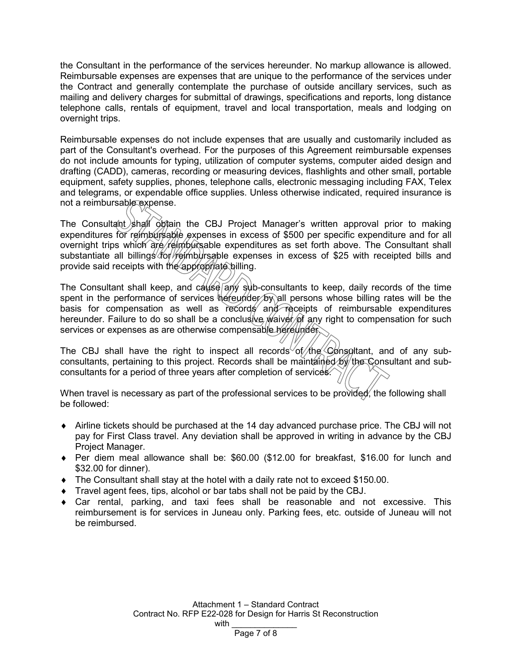the Consultant in the performance of the services hereunder. No markup allowance is allowed. Reimbursable expenses are expenses that are unique to the performance of the services under the Contract and generally contemplate the purchase of outside ancillary services, such as mailing and delivery charges for submittal of drawings, specifications and reports, long distance telephone calls, rentals of equipment, travel and local transportation, meals and lodging on overnight trips.

Reimbursable expenses do not include expenses that are usually and customarily included as part of the Consultant's overhead. For the purposes of this Agreement reimbursable expenses do not include amounts for typing, utilization of computer systems, computer aided design and drafting (CADD), cameras, recording or measuring devices, flashlights and other small, portable equipment, safety supplies, phones, telephone calls, electronic messaging including FAX, Telex and telegrams, or expendable office supplies. Unless otherwise indicated, required insurance is not a reimbursable expense.

The Consultant shall obtain the CBJ Project Manager's written approval prior to making expenditures for reimbursable expenses in excess of \$500 per specific expenditure and for all overnight trips which are reimbursable expenditures as set forth above. The Consultant shall substantiate all billings for reimbursable expenses in excess of \$25 with receipted bills and provide said receipts with the appropriate billing.

The Consultant shall keep, and  $c$ ause any sub-consultants to keep, daily records of the time spent in the performance of services  $\phi$  is equal persons whose billing rates will be the basis for compensation as well as records and receipts of reimbursable expenditures hereunder. Failure to do so shall be a conclusive *waiver* of any right to compensation for such services or expenses as are otherwise compensable hereunder.

The CBJ shall have the right to inspect all records of the Consultant, and of any subconsultants, pertaining to this project. Records shall be maintained by the Consultant and subconsultants for a period of three years after completion of services.

When travel is necessary as part of the professional services to be provided, the following shall be followed:

- ♦ Airline tickets should be purchased at the 14 day advanced purchase price. The CBJ will not pay for First Class travel. Any deviation shall be approved in writing in advance by the CBJ Project Manager.
- ♦ Per diem meal allowance shall be: \$60.00 (\$12.00 for breakfast, \$16.00 for lunch and \$32.00 for dinner).
- $\bullet$  The Consultant shall stay at the hotel with a daily rate not to exceed \$150.00.
- ♦ Travel agent fees, tips, alcohol or bar tabs shall not be paid by the CBJ.
- $\bullet$  Car rental, parking, and taxi fees shall be reasonable and not excessive. This reimbursement is for services in Juneau only. Parking fees, etc. outside of Juneau will not be reimbursed.